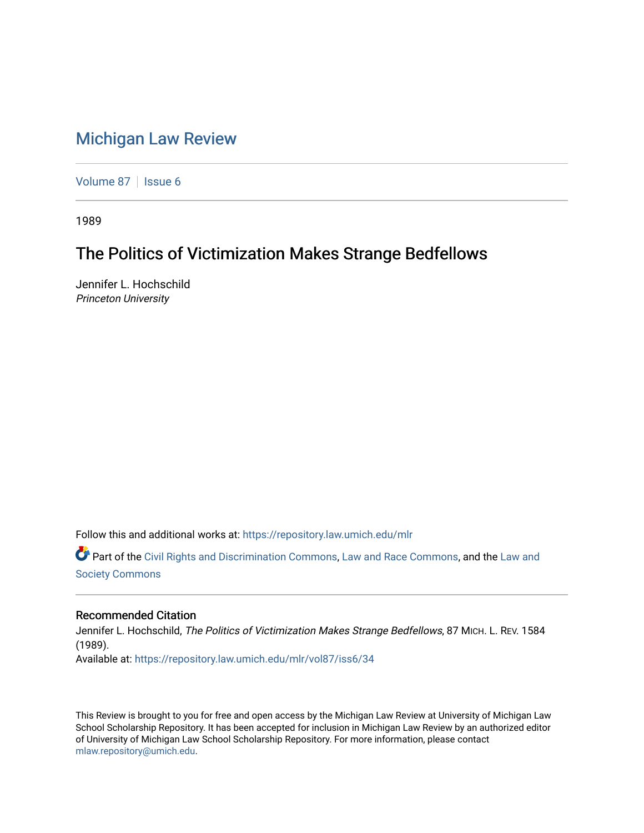# [Michigan Law Review](https://repository.law.umich.edu/mlr)

[Volume 87](https://repository.law.umich.edu/mlr/vol87) | [Issue 6](https://repository.law.umich.edu/mlr/vol87/iss6)

1989

## The Politics of Victimization Makes Strange Bedfellows

Jennifer L. Hochschild Princeton University

Follow this and additional works at: [https://repository.law.umich.edu/mlr](https://repository.law.umich.edu/mlr?utm_source=repository.law.umich.edu%2Fmlr%2Fvol87%2Fiss6%2F34&utm_medium=PDF&utm_campaign=PDFCoverPages) 

Part of the [Civil Rights and Discrimination Commons,](http://network.bepress.com/hgg/discipline/585?utm_source=repository.law.umich.edu%2Fmlr%2Fvol87%2Fiss6%2F34&utm_medium=PDF&utm_campaign=PDFCoverPages) [Law and Race Commons,](http://network.bepress.com/hgg/discipline/1300?utm_source=repository.law.umich.edu%2Fmlr%2Fvol87%2Fiss6%2F34&utm_medium=PDF&utm_campaign=PDFCoverPages) and the [Law and](http://network.bepress.com/hgg/discipline/853?utm_source=repository.law.umich.edu%2Fmlr%2Fvol87%2Fiss6%2F34&utm_medium=PDF&utm_campaign=PDFCoverPages) [Society Commons](http://network.bepress.com/hgg/discipline/853?utm_source=repository.law.umich.edu%2Fmlr%2Fvol87%2Fiss6%2F34&utm_medium=PDF&utm_campaign=PDFCoverPages)

### Recommended Citation

Jennifer L. Hochschild, The Politics of Victimization Makes Strange Bedfellows, 87 MICH. L. REV. 1584 (1989). Available at: [https://repository.law.umich.edu/mlr/vol87/iss6/34](https://repository.law.umich.edu/mlr/vol87/iss6/34?utm_source=repository.law.umich.edu%2Fmlr%2Fvol87%2Fiss6%2F34&utm_medium=PDF&utm_campaign=PDFCoverPages) 

This Review is brought to you for free and open access by the Michigan Law Review at University of Michigan Law School Scholarship Repository. It has been accepted for inclusion in Michigan Law Review by an authorized editor of University of Michigan Law School Scholarship Repository. For more information, please contact [mlaw.repository@umich.edu.](mailto:mlaw.repository@umich.edu)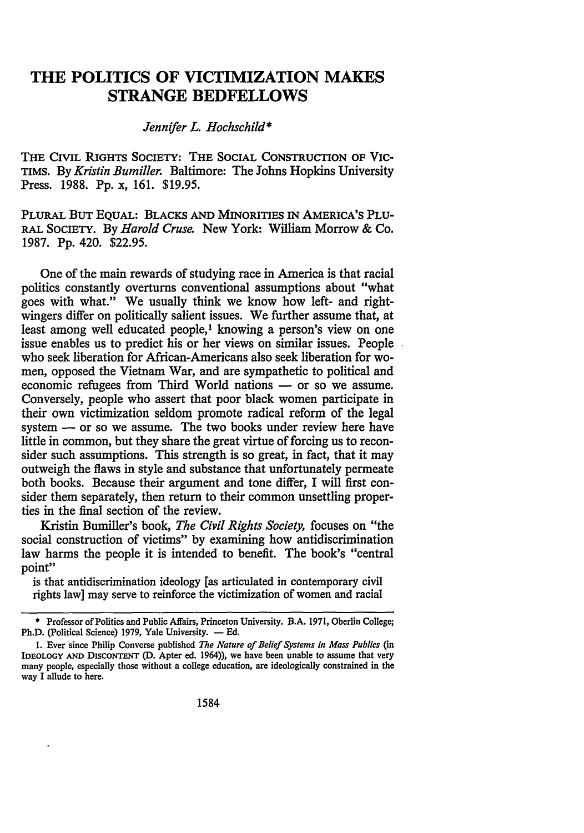### **THE POLITICS OF VICTIMIZATION MAKES STRANGE BEDFELLOWS**

*Jennifer L. Hochschild\** 

THE CIVIL RIGHTS SOCIETY: THE SOCIAL CONSTRUCTION OF VIC-TIMS. By *Kristin Bumiller.* Baltimore: The Johns Hopkins University Press. 1988. Pp. x, 161. \$19.95.

PLURAL BUT EQUAL: BLACKS AND MINORITIES IN AMERICA'S PLU· RAL SOCIETY. By *Harold Cruse.* New York: William Morrow & Co. 1987. Pp. 420. \$22.95.

One of the main rewards of studying race in America is that racial politics constantly overturns conventional assumptions about "what goes with what." We usually think we know how left- and rightwingers differ on politically salient issues. We further assume that, at least among well educated people,<sup>1</sup> knowing a person's view on one issue enables us to predict his or her views on similar issues. People who seek liberation for African-Americans also seek liberation for women, opposed the Vietnam War, and are sympathetic to political and economic refugees from Third World nations — or so we assume. Conversely, people who assert that poor black women participate in their own victimization seldom promote radical reform of the legal system - or so we assume. The two books under review here have little in common, but they share the great virtue of forcing us to reconsider such assumptions. This strength is so great, in fact, that it may outweigh the flaws in style and substance that unfortunately permeate both books. Because their argument and tone differ, I will first consider them separately, then return to their common unsettling properties in the final section of the review.

Kristin Bumiller's book, *The Civil Rights Society,* focuses on "the social construction of victims" by examining how antidiscrimination law harms the people it is intended to benefit. The book's "central point"

is that antidiscrimination ideology [as articulated in contemporary civil rights law] may serve to reinforce the victimization of women and racial

<sup>•</sup> Professor of Politics and Public Affairs, Princeton University. B.A. 1971, Oberlin College; Ph.D. (Political Science) 1979, Yale University. - Ed.

<sup>1.</sup> Ever since Philip Converse published *The Nature of Belief Systems in Mass Publics* (in IDEOLOGY AND DISCONTENT (D. Apter ed. 1964)), we have been unable to assume that very many people, especially those without a college education, are ideologically constrained in the way I allude to here.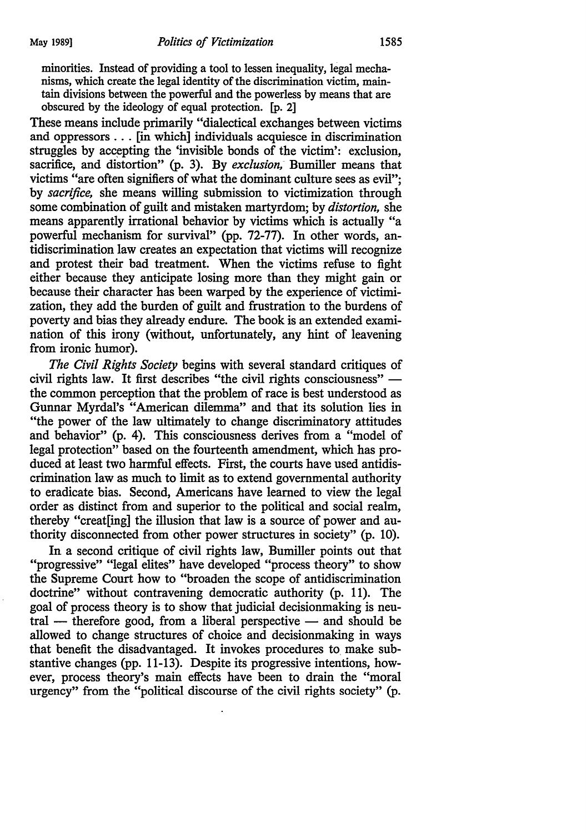minorities. Instead of providing a tool to lessen inequality, legal mechanisms, which create the legal identity of the discrimination victim, maintain divisions between the powerful and the powerless by means that are obscured by the ideology of equal protection. [p. 2]

These means include primarily "dialectical exchanges between victims and oppressors ... [in which] individuals acquiesce in discrimination struggles by accepting the 'invisible bonds of the victim': exclusion, sacrifice, and distortion" (p. 3). By *exclusion,* Bumiller means that victims "are often signifiers of what the dominant culture sees as evil"; by *sacrifice,* she means willing submission to victimization through some combination of guilt and mistaken martyrdom; by *distortion,* she means apparently irrational behavior by victims which is actually "a powerful mechanism for survival" (pp. 72-77). In other words, antidiscrimination law creates an expectation that victims will recognize and protest their bad treatment. When the victims refuse to fight either because they anticipate losing more than they might gain or because their character has been warped by the experience of victimization, they add the burden of guilt and frustration to the burdens of poverty and bias they already endure. The book is an extended examination of this irony (without, unfortunately, any hint of leavening from ironic humor).

*The Civil Rights Society* begins with several standard critiques of civil rights law. It first describes "the civil rights consciousness" the common perception that the problem of race is best understood as Gunnar Myrdal's "American dilemma" and that its solution lies in "the power of the law ultimately to change discriminatory attitudes and behavior" (p. 4). This consciousness derives from a "model of legal protection" based on the fourteenth amendment, which has produced at least two harmful effects. First, the courts have used antidiscrimination law as much to limit as to extend governmental authority to eradicate bias. Second, Americans have learned to view the legal order as distinct from and superior to the political and social realm, thereby "creat[ing] the illusion that law is a source of power and authority disconnected from other power structures in society" (p. 10).

In a second critique of civil rights law, Bumiller points out that "progressive" "legal elites" have developed "process theory" to show the Supreme Court how to "broaden the scope of antidiscrimination doctrine" without contravening democratic authority (p. 11). The goal of process theory is to show that judicial decisionmaking is neu $tral$  - therefore good, from a liberal perspective - and should be allowed to change structures of choice and decisionmaking in ways that benefit the disadvantaged. It invokes procedures to. make substantive changes (pp. 11-13). Despite its progressive intentions, however, process theory's main effects have been to drain the "moral urgency" from the "political discourse of the civil rights society" (p.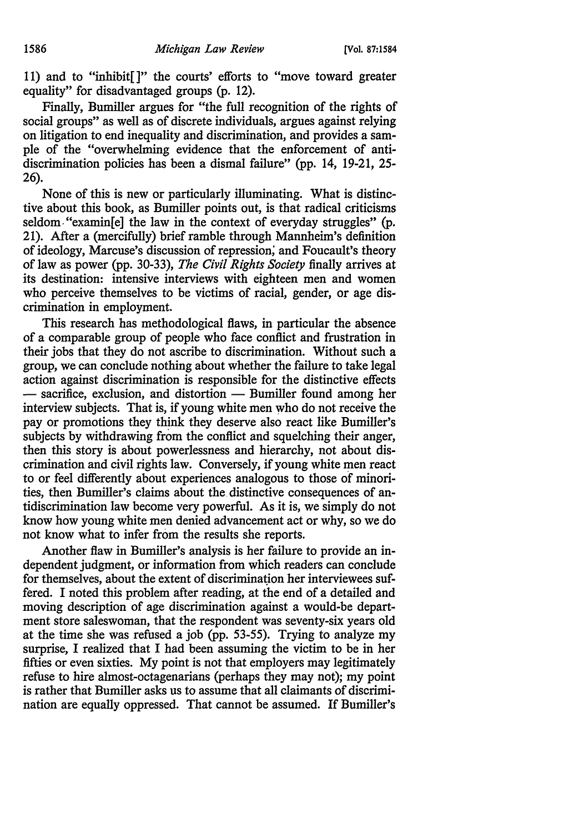11) and to "inhibit[]" the courts' efforts to "move toward greater equality" for disadvantaged groups (p. 12).

Finally, Bumiller argues for "the full recognition of the rights of social groups" as well as of discrete individuals, argues against relying on litigation to end inequality and discrimination, and provides a sample of the "overwhelming evidence that the enforcement of antidiscrimination policies has been a dismal failure" (pp. 14, 19-21, 25- 26).

None of this is new or particularly illuminating. What is distinctive about this book, as Bumiller points out, is that radical criticisms seldom. "examin[e] the law in the context of everyday struggles" (p. 21). After a (mercifully) brief ramble through Mannheim's definition of ideology, Marcuse's discussion of repression; and Foucault's theory of law as power (pp. 30-33), *The Civil Rights Society* finally arrives at its destination: intensive interviews with eighteen men and women who perceive themselves to be victims of racial, gender, or age discrimination in employment.

This research has methodological flaws, in particular the absence of a comparable group of people who face conflict and frustration in their jobs that they do not ascribe to discrimination. Without such a group, we can conclude nothing about whether the failure to take legal action against discrimination is responsible for the distinctive effects - sacrifice, exclusion, and distortion - Bumiller found among her interview subjects. That is, if young white men who do not receive the pay or promotions they think they deserve also react like Bumiller's subjects by withdrawing from the conflict and squelching their anger, then this story is about powerlessness and hierarchy, not about discrimination and civil rights law. Conversely, if young white men react to or feel differently about experiences analogous to those of minorities, then Bumiller's claims about the. distinctive consequences of antidiscrimination law become very powerful. As it is, we simply do not know how young white men denied advancement act or why, so we do not know what to infer from the results she reports.

Another flaw in Bumiller's analysis is her failure to provide an independent judgment, or information from which readers can conclude for themselves, about the extent of discrimination her interviewees suffered. I noted this problem after reading, at the end of a detailed and moving description of age discrimination against a would-be department store saleswoman, that the respondent was seventy-six years old at the time she was refused a job (pp. 53-55). Trying to analyze my surprise, I realized that I had been assuming the victim to be in her fifties or even sixties. My point is not that employers may legitimately refuse to hire almost-octagenarians (perhaps they may not); my point is rather that Bumiller asks us to assume that all claimants of discrimination are equally oppressed. That cannot be assumed. If Bumiller's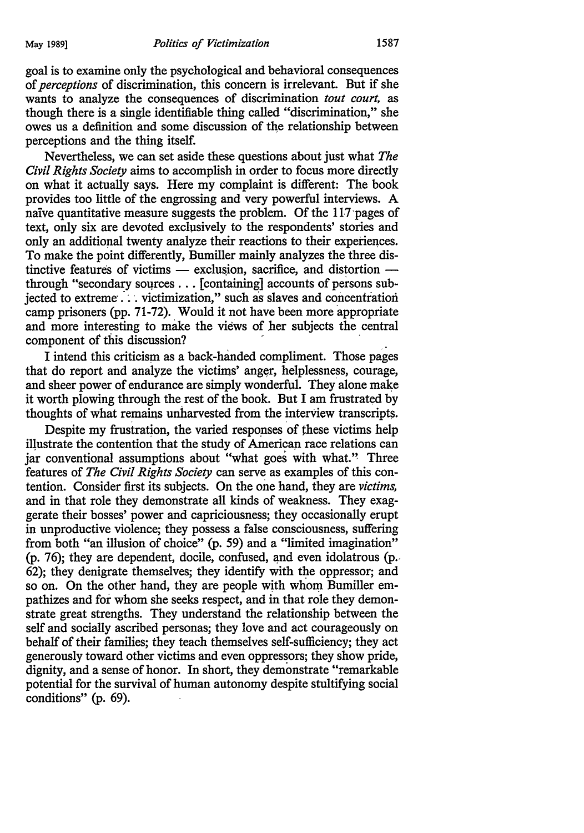goal is to examine only the psychological and behavioral consequences of *perceptions* of discrimination, this concern is irrelevant. But if she wants to analyze the consequences of discrimination *tout court,* as though there is a single identifiable thing called "discrimination," she owes us a definition and some discussion of the relationship between perceptions and the thing itself.

Nevertheless, we can set aside these questions about just what *The Civil Rights Society* aims to accomplish in order to focus more directly on what it actually says. Here my complaint is different: The book provides too little of the engrossing and very powerful interviews. A naive quantitative measure suggests the problem. Of the 117 pages of text, only six are devoted exclusively to the respondents' stories and only an additional twenty analyze their reactions to their experiences. To make the point differently, Bumiller mainly analyzes the three distinctive features of victims  $-$  exclusion, sacrifice, and distortion  $$ through "secondary soqrces ... [containing] accounts of persons subjected to extreme  $\ldots$  victimization," such as slaves and concentration camp prisoners (pp. 71-72). Would it not have been more appropriate and more interesting to make the views of her subjects the central component of this discussion?

I intend this criticism as a back-handed compliment. Those pages that do report and analyze the victims' anger, helplessness, courage, and sheer power of endurance are simply wonderful. They alone make it worth plowing through the rest of the book. But I am frustrated by thoughts of what remains unharvested from the interview transcripts.

Despite my frustration, the varied responses of these victims help illustrate the contention that the study of American race relations can jar conventional assumptions about "what goes with what." Three features of *The Civil Rights Society* can serve as examples of this contention. Consider first its subjects. On the one hand, they are *victims,*  and in that role they demonstrate all kinds of weakness. They exaggerate their bosses' power and capriciousness; they occasionally erupt in unproductive violence; they possess a false consciousness, suffering from both "an illusion of choice" (p. 59) and a "limited imagination" (p. 76); they are dependent, docile, confused, and even idolatrous (p. 62); they denigrate themselves; they identify with the oppressor; and so on. On the other hand, they are people with whom Bumiller empathizes and for whom she seeks respect, and in that role they demonstrate great strengths. They understand the relationship between the self and socially ascribed personas; they love and act courageously on behalf of their families; they teach themselves self-sufficiency; they act generously toward other victims and even oppressors; they show pride, dignity, and a sense of honor. In short, they demonstrate "remarkable potential for the survival of human autonomy despite stultifying social conditions" (p. 69).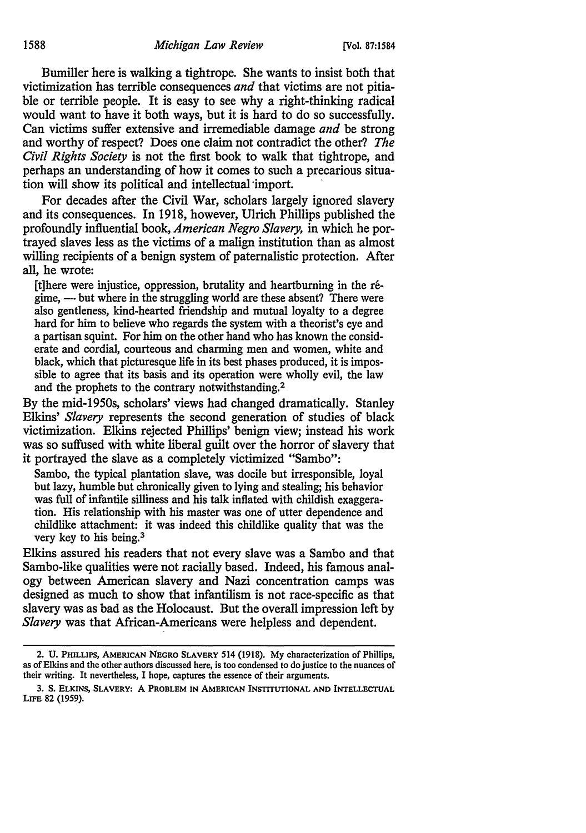Bumiller here is walking a tightrope. She wants to insist both that victimization has terrible consequences *and* that victims are not pitiable or terrible people. It is easy to see why a right-thinking radical would want to have it both ways, but it is hard to do so successfully. Can victims suffer extensive and irremediable damage *and* be strong and worthy of respect? Does one claim not contradict the other? *The Civil Rights Society* is not the first book to walk that tightrope, and perhaps an understanding of how it comes to such a precarious situation will show its political and intellectual import.

For decades after the Civil War, scholars largely ignored slavery and its consequences. In 1918, however, Ulrich Phillips published the profoundly influential book, *American Negro Slavery,* in which he portrayed slaves less as the victims of a malign institution than as almost willing recipients of a benign system of paternalistic protection. After all, he wrote:

[t]here were injustice, oppression, brutality and heartburning in the regime, — but where in the struggling world are these absent? There were also gentleness, kind-hearted friendship and mutual loyalty to a degree hard for him to believe who regards the system with a theorist's eye and a partisan squint. For him on the other hand who has known the considerate and cordial, courteous and charming men and women, white and black, which that picturesque life in its best phases produced, it is impossible to agree that its basis and its operation were wholly evil, the law and the prophets to the contrary notwithstanding.<sup>2</sup>

By the mid-1950s, scholars' views had changed dramatically. Stanley Elkins' *Slavery* represents the second generation of studies of black victimization. Elkins rejected Phillips' benign view; instead his work was so suffused with white liberal guilt over the horror of slavery that it portrayed the slave as a completely victimized "Sambo":

Sambo, the typical plantation slave, was docile but irresponsible, loyal but lazy, humble but chronically given to lying and stealing; his behavior was full of infantile silliness and his talk inflated with childish exaggeration. His relationship with his master was one of utter dependence and childlike attachment: it was indeed this childlike quality that was the very key to his being. 3

Elkins assured his readers that not every slave was a Sambo and that Sambo-like qualities were not racially based. Indeed, his famous analogy between American slavery and Nazi concentration camps was designed as much to show that infantilism is not race-specific as that slavery was as bad as the Holocaust. But the overall impression left by *Slavery* was that African-Americans were helpless and dependent.

<sup>2.</sup> u. PHILLIPS, AMERICAN NEGRO SLAVERY 514 (1918). My characterization of Phillips, as of Elkins and the other authors discussed here, is too condensed to do justice to the nuances of their writing. It nevertheless, I hope, captures the essence of their arguments.

<sup>3.</sup> S. ELKINS, SLAVERY: A PROBLEM IN AMERICAN INSTITUTIONAL AND INTELLECTUAL LIFE 82 (1959).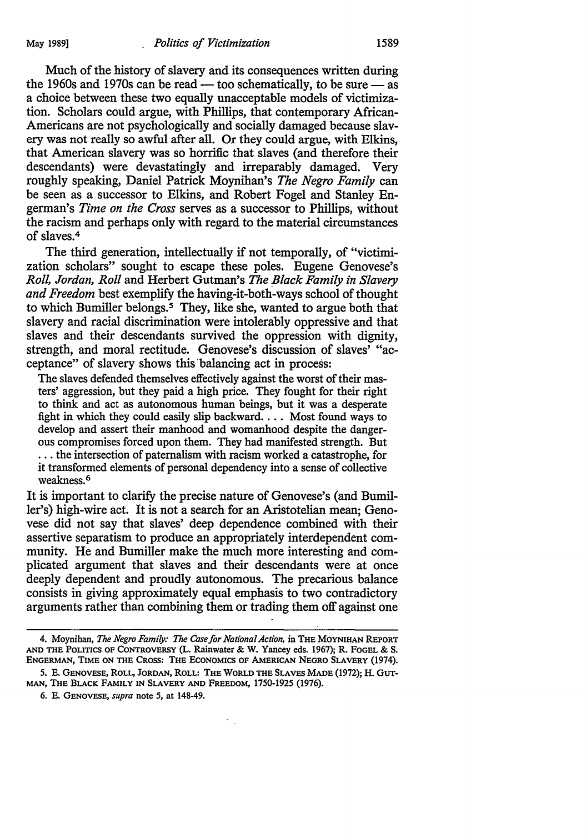Much of the history of slavery and its consequences written during the 1960s and 1970s can be read — too schematically, to be sure  $-\overline{\text{as}}$ a choice between these two equally unacceptable models of victimization. Scholars could argue, with Phillips, that contemporary African-Americans are not psychologically and socially damaged because slavery was not really so awful after all. Or they could argue, with Elkins, that American slavery was so horrific that slaves (and therefore their descendants) were devastatingly and irreparably damaged. Very roughly speaking, Daniel Patrick Moynihan's *The Negro Family* can be seen as a successor to Elkins, and Robert Fogel and Stanley Engerman's *Time on the Cross* serves as a successor to Phillips, without the racism and perhaps only with regard to the material circumstances of slaves.4

The third generation, intellectually if not temporally, of "victimization scholars" sought to escape these poles. Eugene Genovese's *Roll, Jordan, Roll* and Herbert Gutman's *The Black Family in Slavery and Freedom* best exemplify the having-it-both-ways school of thought to which Bumiller belongs. *5* They, like she, wanted to argue both that slavery and racial discrimination were intolerably oppressive and that slaves and their descendants survived the oppression with dignity, strength, and moral rectitude. Genovese's discussion of slaves' "acceptance" of slavery shows this 'balancing act in process:

The slaves defended themselves effectively against the worst of their masters' aggression, but they paid a high price. They fought for their right to think and act as autonomous human beings, but it was a desperate fight in which they could easily slip backward. . . . Most found ways to develop and assert their manhood and womanhood despite the dangerous compromises forced upon them. They had manifested strength. But ... the intersection of paternalism with racism worked a catastrophe, for it transformed elements of personal dependency into a sense of collective weakness.<sup>6</sup>

It is important to clarify the precise nature of Genovese's (and Bumiller's) high-wire act. It is not a search for an Aristotelian mean; Genovese did not say that slaves' deep dependence combined with their assertive separatism to produce an appropriately interdependent community. He and Bumiller make the much more interesting and complicated argument that slaves and their descendants were at once deeply dependent and proudly autonomous. The precarious balance consists in giving approximately equal emphasis to two contradictory arguments rather than combining them or trading them off against one

 $\gamma_{\rm{th}}$ 

<sup>4.</sup> Moynihan, *The Negro Family: The Case for National Actlon,* in THE MOYNIHAN REPORT AND THE POLITICS OF CoNTROVERSY (L. Rainwater & W. Yancey eds. 1967); R. FOGEL & s. ENGERMAN, TIME ON THE CROSS: THE EcONOMICS OF AMERICAN NEGRO SLAVERY (1974).

<sup>5.</sup> E. GENOVESE, ROLL, JORDAN, ROLL: THE WORLD THE SLAVES MADE (1972); H. GUT-MAN, THE BLACK FAMILY IN SLAVERY AND FREEDOM, 1750-1925 (1976).

<sup>6.</sup> E. GENOVESE, *supra* note 5, at 148-49.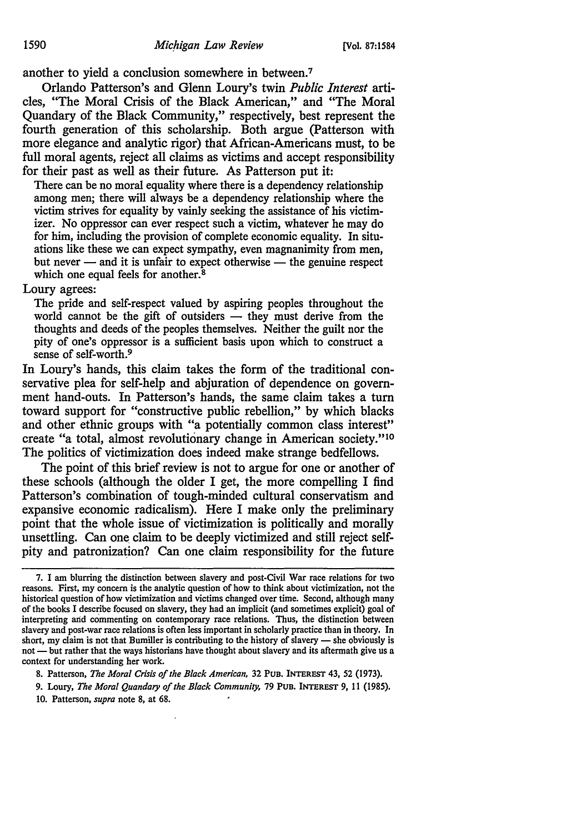another to yield a conclusion somewhere in between.<sup>7</sup>

Orlando Patterson's and Glenn Loury's twin *Public Interest* articles, "The Moral Crisis of the Black American," and "The Moral Quandary of the Black Community," respectively, best represent the fourth generation of this scholarship. Both argue (Patterson with more elegance and analytic rigor) that African-Americans must, to be full moral agents, reject all claims as victims and accept responsibility for their past as well as their future. As Patterson put it:

There can be no moral equality where there is a dependency relationship among men; there will always be a dependency relationship where the victim strives for equality by vainly seeking the assistance of his victimizer. No oppressor can ever respect such a victim, whatever he may do for him, including the provision of complete economic equality. In situations like these we can expect sympathy, even magnanimity from men, but never  $-$  and it is unfair to expect otherwise  $-$  the genuine respect which one equal feels for another.<sup>8</sup>

#### Loury agrees:

The pride and self-respect valued by aspiring peoples throughout the world cannot be the gift of outsiders  $-$  they must derive from the thoughts and deeds of the peoples themselves. Neither the guilt nor the pity of one's oppressor is a sufficient basis upon which to construct a sense of self-worth.9

In Loury's hands, this claim takes the form of the traditional conservative plea for self-help and abjuration of dependence on government hand-outs. In Patterson's hands, the same claim takes a tum toward support for "constructive public rebellion," by which blacks and other ethnic groups with "a potentially common class interest" create "a total, almost revolutionary change in American society." <sup>10</sup> The politics of victimization does indeed make strange bedfellows.

The point of this brief review is not to argue for one or another of these schools (although the older I get, the more compelling I find Patterson's combination of tough-minded cultural conservatism and expansive economic radicalism). Here I make only the preliminary point that the whole issue of victimization is politically and morally unsettling. Can one claim to be deeply victimized and still reject selfpity and patronization? Can one claim responsibility for the future

10. Patterson, *supra* note 8, at 68.

<sup>7.</sup> I am blurring the distinction between slavery and post·Civil War race relations for two reasons. First, my concern is the analytic question of how to think about victimization, not the historical question of how victimization and victims changed over time. Second, although many of the books I describe focused on slavery, they had an implicit (and sometimes explicit) goal of interpreting artd c0mmenting on contemporary race relations. Thus, the distinction between slavery and post-war race relations is often less important in scholarly practice than in theory. In short, my claim is not that Bumiller is contributing to the history of slavery — she obviously is not - but rather that the ways historians have thought about slavery and its aftermath give us a context for understanding her work.

<sup>8.</sup> Patterson, *The Moral Crisis of the Black American,* 32 PUB. INTEREST 43, 52 (1973).

<sup>9.</sup> Loury, *The Moral Quandary of the Black Community,* 79 PUB. INTEREST 9, 11 (1985).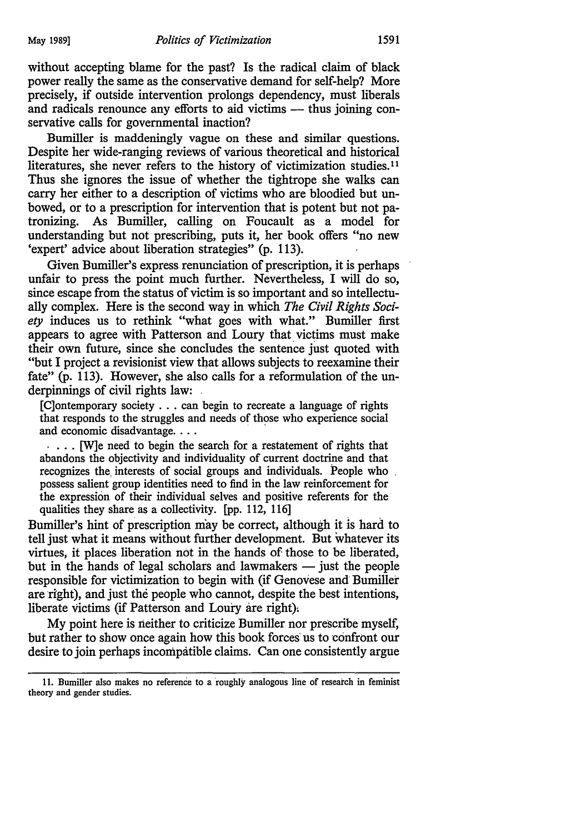without accepting blame for the past? Is the radical claim of black power really the same as the conservative demand for self-help? More precisely, if outside intervention prolongs dependency, must liberals and radicals renounce any efforts to aid victims  $-$  thus joining conservative calls for governmental inaction?

Bumiller is maddeningly vague on these and similar questions. Despite her wide-ranging reviews of various theoretical and historical literatures, she never refers to the history of victimization studies.<sup>11</sup> Thus she ignores the issue of whether the tightrope she walks can carry her either to a description of victims who are bloodied but unbowed, or to a prescription for intervention that is potent but not patronizing. As Bumiller, calling on Foucault as a model for understanding but not prescribing, puts it, her book offers "no new 'expert' advice about liberation strategies" (p. 113).

Given Bumiller's express renunciation of prescription, it is perhaps unfair to press the point much further. Nevertheless, I will do so, since escape from the status of victim is so important and so intellectually complex. Here is the second way in which *The Civil Rights Society* induces us to rethink "what goes with what." Bumiller first appears to agree with Patterson and Loury that victims must make their own future, since she concludes the sentence just quoted with "but I project a revisionist view that allows subjects to reexamine their fate" (p. 113). However, she also calls for a reformulation of the underpinnings of civil rights law:

[C]ontemporary society ... can begin to recreate a language of rights that responds to the struggles and needs of those who experience social and economic disadvantage. . . . ·

 $\ldots$  [W]e need to begin the search for a restatement of rights that abandons the objectivity and individuality of current doctrine and that recognizes the interests of social groups and individuals. People who possess salient group identities need to find in the law reinforcement for the expression of their individual selves and positive referents for the qualities they share as a collectivity. [pp. 112, 116]

Bumiller's hint of prescription may be correct, although it is hard to tell just what it means without further development. But whatever its virtues, it places liberation not in the hands of those to be liberated, but in the hands of legal scholars and lawmakers  $-$  just the people responsible for victimization to begin with (if Genovese and Bumiller are right), and just the people who cannot, despite the best intentions, liberate victims (if Patterson and Loury are right):

My point here is neither to criticize Bumiller nor prescribe myself, but rather to show once again how this book forces us to confront our desire to join perhaps incompatible claims. Can one consistently argue

<sup>11.</sup> Bumiller also makes no reference to a roughly analogous line of research in feminist theory and gender studies.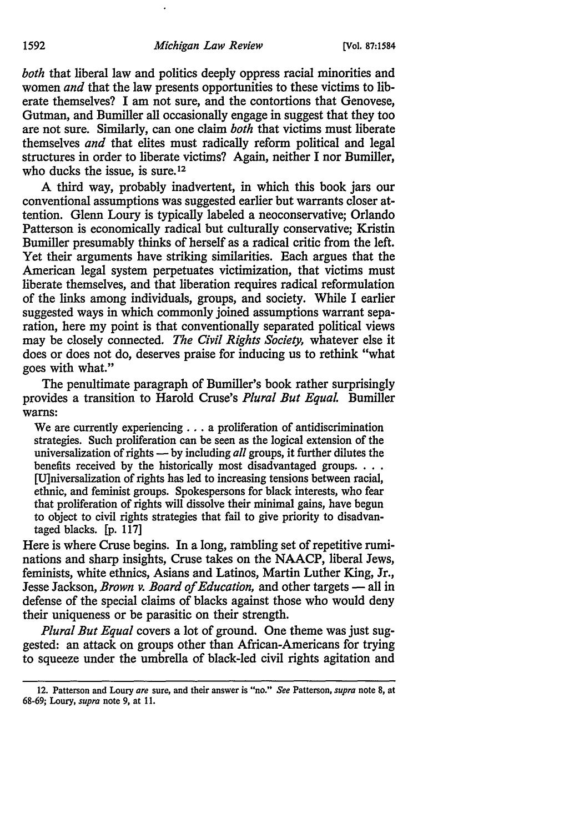*both* that liberal law and politics deeply oppress racial minorities and women *and* that the law presents opportunities to these victims to liberate themselves? I am not sure, and the contortions that Genovese, Gutman, and Bumiller all occasionally engage in suggest that they too are not sure. Similarly, can one claim *both* that victims must liberate themselves *and* that elites must radically reform political and legal structures in order to liberate victims? Again, neither I nor Bumiller, who ducks the issue, is sure.<sup>12</sup>

A third way, probably inadvertent, in which this book jars our conventional assumptions was suggested earlier but warrants closer attention. Glenn Loury is typically labeled a neoconservative; Orlando Patterson is economically radical but culturally conservative; Kristin Bumiller presumably thinks of herself as a radical critic from the left. Yet their arguments have striking similarities. Each argues that the American legal system perpetuates victimization, that victims must liberate themselves, and that liberation requires radical reformulation of the links among individuals, groups, and society. While I earlier suggested ways in which commonly joined assumptions warrant separation, here my point is that conventionally separated political views may be closely connected. *The Civil Rights Society,* whatever else it does or does not do, deserves praise for inducing us to rethink "what goes with what."

The penultimate paragraph of Bumiller's book rather surprisingly provides a transition to Harold Cruse's *Plural But Equal* Bumiller warns:

We are currently experiencing ... a proliferation of antidiscrimination strategies. Such proliferation can be seen as the logical extension of the universalization of rights - by including *all* groups, it further dilutes the benefits received by the historically most disadvantaged groups. . . . [U]niversalization of rights has led to increasing tensions between racial, ethnic, and feminist groups. Spokespersons for black interests, who fear that proliferation of rights will dissolve their minimal gains, have begun to object to civil rights strategies that fail to give priority to disadvantaged blacks. [p. 117]

Here is where Cruse begins. In a long, rambling set of repetitive ruminations and sharp insights, Cruse takes on the NAACP, liberal Jews, feminists, white ethnics, Asians and Latinos, Martin Luther King, Jr., Jesse Jackson, *Brown v. Board of Education*, and other targets - all in defense of the special claims of blacks against those who would deny their uniqueness or be parasitic on their strength.

*Plural But Equal* covers a lot of ground. One theme was just suggested: an attack on groups other than African-Americans for trying to squeeze under the umbrella of black-led civil rights agitation and

<sup>12.</sup> Patterson and Loury *are* sure, and their answer is "no." *See* Patterson, *supra* note 8, at 68-69; Loury, *supra* note 9, at 11.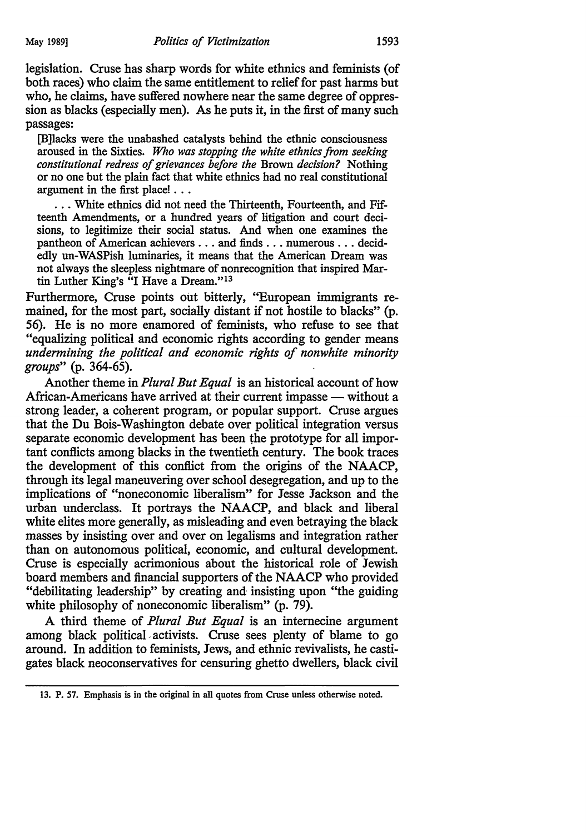legislation. Cruse has sharp words for white ethnics and feminists (of both races) who claim the same entitlement to relief for past harms but who, he claims, have suffered nowhere near the same degree of oppression as blacks (especially men). As he puts it, in the first of many such passages:

[B]lacks were the unabashed catalysts behind the ethnic consciousness aroused in the Sixties. *Who was stopping the white ethnics from seeking constitutional redress of grievances before the* Brown *decision?* Nothing or no one but the plain fact that white ethnics had no real constitutional argument in the first place! . . .

. . . White ethnics did not need the Thirteenth, Fourteenth, and Fifteenth Amendments, or a hundred years of litigation and court decisions, to legitimize their social status. And when one examines the pantheon of American achievers ... and finds ... numerous ... decidedly un-WASPish luminaries, it means that the American Dream was not always the sleepless nightmare of nonrecognition that inspired Martin Luther King's "I Have a Dream."<sup>13</sup>

Furthermore, Cruse points out bitterly, "European immigrants remained, for the most part, socially distant if not hostile to blacks" (p. 56). He is no more enamored of feminists, who refuse to see that "equalizing political and economic rights according to gender means *undermining the political and economic rights of nonwhite minority groups"* (p. 364-65).

Another theme in *Plural But Equal* is an historical account of how African-Americans have arrived at their current impasse — without a strong leader, a coherent program, or popular support. Cruse argues that the Du Bois-Washington debate over political integration versus separate economic development has been the prototype for all important conflicts among blacks in the twentieth century. The book traces the development of this conflict from the origins of the NAACP, through its legal maneuvering over school desegregation, and up to the implications of "noneconomic liberalism" for Jesse Jackson and the urban underclass. It portrays the NAACP, and black and liberal white elites more generally, as misleading and even betraying the black masses by insisting over and over on legalisms and integration rather than on autonomous political, economic, and cultural development. Cruse is especially acrimonious about the historical role of Jewish board members and financial supporters of the NAACP who provided "debilitating leadership" by creating and insisting upon "the guiding" white philosophy of noneconomic liberalism" (p. 79).

A third theme of *Plural But Equal* is an internecine argument among black political , activists. Cruse sees plenty of blame to go around. In addition to feminists, Jews, and ethnic revivalists, he castigates black neoconservatives for censuring ghetto dwellers, black civil

<sup>13.</sup> P. 57. Emphasis is in the original in all quotes from Cruse unless otherwise noted.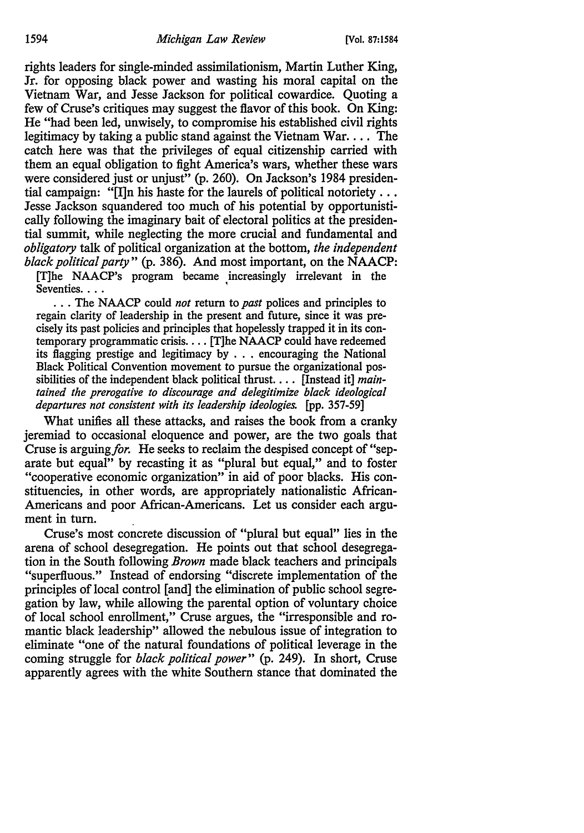rights leaders for single-minded assimilationism, Martin Luther King, Jr. for opposing black power and wasting his moral capital on the Vietnam War, and Jesse Jackson for political cowardice. Quoting a few of Cruse's critiques may suggest the flavor of this book. On King: He "had been led, unwisely, to compromise his established civil rights legitimacy by taking a public stand against the Vietnam War.... The catch here was that the privileges of equal citizenship carried with them an equal obligation to fight America's wars, whether these wars were considered just or unjust" (p. 260). On Jackson's 1984 presidential campaign: "[I]n his haste for the laurels of political notoriety  $\dots$ Jesse Jackson squandered too much of his potential by opportunistically following the imaginary bait of electoral politics at the presidential summit, while neglecting the more crucial and fundamental and *obligatory* talk of political organization at the bottom, *the independent black political party"* (p. 386). And most important, on the NAACP: [T]he NAACP's program became increasingly irrelevant in the Seventies. . . .

... The NAACP could *not* return to *past* polices and principles to regain clarity of leadership in the present and future, since it was precisely its past policies and principles that hopelessly trapped it in its contemporary programmatic crisis .... [T]he NAACP could have redeemed its flagging prestige and legitimacy by ... encouraging the National Black Political Convention movement to pursue the organizational possibilities of the independent black political thrust. . . . [Instead it] *maintained the prerogative to discourage and delegitimize black ideological departures not consistent with its leadership ideologies.* [pp. 357-59]

What unifies all these attacks, and raises the book from a cranky jeremiad to occasional eloquence and power, are the two goals that Cruse is arguing for. He seeks to reclaim the despised concept of "separate but equal" by recasting it as "plural but equal," and to foster "cooperative economic organization" in aid of poor blacks. His constituencies, in other words, are appropriately nationalistic African-Americans and poor African-Americans. Let us consider each argument in turn.

Cruse's most concrete discussion of "plural but equal" lies in the arena of school desegregation. He points out that school desegregation in the South following *Brown* made black teachers and principals "superfluous." Instead of endorsing "discrete implementation of the principles of local control [and] the elimination of public school segregation by law, while allowing the parental option of voluntary choice of local school enrollment," Cruse argues, the "irresponsible and romantic black leadership" allowed the nebulous issue of integration to eliminate "one of the natural foundations of political leverage in the coming struggle for *black political power"* (p. 249). In short, Cruse apparently agrees with the white Southern stance that dominated the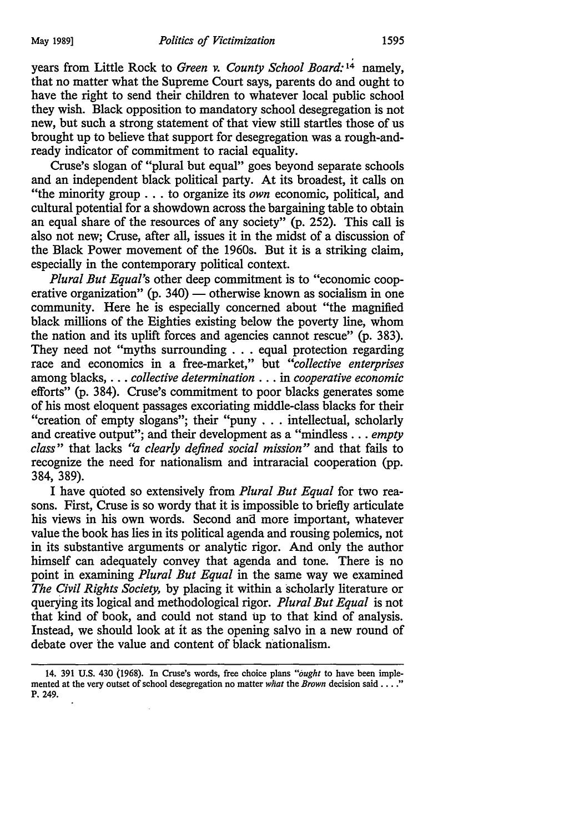years from Little Rock to *Green v. County School Board:* 14 namely, that no matter what the Supreme Court says, parents do and ought to have the right to send their children to whatever local public school they wish. Black opposition to mandatory school desegregation is not new, but such a strong statement of that view still startles those of us brought up to believe that support for desegregation was a rough-andready indicator of commitment to racial equality.

Cruse's slogan of "plural but equal" goes beyond separate schools and an independent black political party. At its broadest, it calls on "the minority group ... to organize its *own* economic, political, and cultural potential for a showdown across the bargaining table to obtain an equal share of the resources of any society" (p. 252). This call is also not new; Cruse, after all, issues it in the midst of a discussion of the Black Power movement of the 1960s. But it is a striking claim, especially in the contemporary political context.

*Plural But Equal's* other deep commitment is to "economic cooperative organization" (p.  $340$ ) — otherwise known as socialism in one community. Here he is especially concerned about "the magnified black millions of the Eighties existing below the poverty line, whom the nation and its uplift forces and agencies cannot rescue" (p. 383). They need not "myths surrounding . . . equal protection regarding race and economics in a free-market," but *"collective enterprises*  among blacks, ... *collective determination* ... in *cooperative economic*  efforts" (p. 384). Cruse's commitment to poor blacks generates some of his most eloquent passages excoriating middle-class blacks for their "creation of empty slogans"; their "puny ... intellectual, scholarly and creative output"; and their development as a "mindless ... *empty class"* that lacks *"a clearly defined social mission"* and that fails to recognize the need for nationalism and intraracial cooperation (pp. 384, 389).

I have quoted so extensively from *Plural But Equal* for two reasons. First, Cruse is so wordy that it is impossible to briefly articulate his views in his own words. Second and more important, whatever value the book has lies in its political agenda and rousing polemics, not in its substantive arguments or analytic rigor. And only the author himself can adequately convey that agenda and tone. There is no point in examining *Plural But Equal* in the same way we examined *The Civil Rights Society,* by placing it within a scholarly literature or querying its logical and methodological rigor. *Plural But Equal* is not that kind of book, and could not stand up to that kind of analysis. Instead, we should look at it as the opening salvo in a new round of debate over 'the value and content of black nationalism.

<sup>14. 391</sup> U.S. 430 (1968). In Cruse's words, free choice plans *"ought* to have been implemented at the very outset of school desegregation no matter *what* the *Brown* decision said ....' P. 249.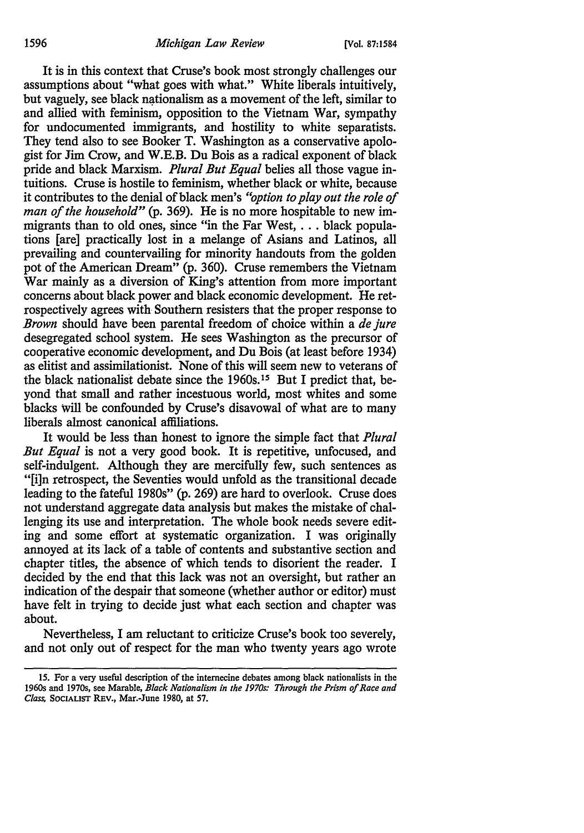It is in this context that Cruse's book most strongly challenges our assumptions about "what goes with what." White liberals intuitively, but vaguely, see black nationalism as a movement of the left, similar to and allied with feminism, opposition to the Vietnam War, sympathy for undocumented immigrants, and hostility to white separatists. They tend also to see Booker T. Washington as a conservative apologist for Jim Crow, and W.E.B. Du Bois as a radical exponent of black pride and black Marxism. *Plural But Equal* belies all those vague intuitions. Cruse is hostile to feminism, whether black or white, because it contributes to the denial of black men's *"option to play out the role of man of the household"* (p. 369). He is no more hospitable to new immigrants than to old ones, since "in the Far West, . . . black populations [are] practically lost in a melange of Asians and Latinos, all prevailing and countervailing for minority handouts from the golden pot of the American Dream" (p. 360). Cruse remembers the Vietnam War mainly as a diversion of King's attention from more important concerns about black power and black economic development. He retrospectively agrees with Southern resisters that the proper response to *Brown* should have been parental freedom of choice within a *de jure*  desegregated school system. He sees Washington as the precursor of cooperative economic development, and Du Bois (at least before 1934) as elitist and assimilationist. None of this will seem new to veterans of the black nationalist debate since the 1960s. 15 But I predict that, beyond that small and rather incestuous world, most whites and some blacks will be confounded by Cruse's disavowal of what are to many liberals almost canonical affiliations.

It would be less than honest to ignore the simple fact that *Plural But Equal* is not a very good book. It is repetitive, unfocused, and self-indulgent. Although they are mercifully few, such sentences as "[i]n retrospect, the Seventies would unfold as the transitional decade leading to the fateful 1980s" (p. 269) are hard to overlook. Cruse does not understand aggregate data analysis but makes the mistake of challenging its use and interpretation. The whole book needs severe editing and some effort at systematic organization. I was originally annoyed at its lack of a table of contents and substantive section and chapter titles, the absence of which tends to disorient the reader. I decided by the end that this lack was not an oversight, but rather an indication of the despair that someone (whether author or editor) must have felt in trying to decide just what each section and chapter was about.

Nevertheless, I am reluctant to criticize Cruse's book too severely, and not only out of respect for the man who twenty years ago wrote

<sup>15.</sup> For a very useful description of the internecine debates among black nationalists in the 1960s and 1970s, see Marable, *Black Nationalism in the 1970s: Through the Prism of Race and Class,* SOCIALIST REV., Mar.-June 1980, at 57.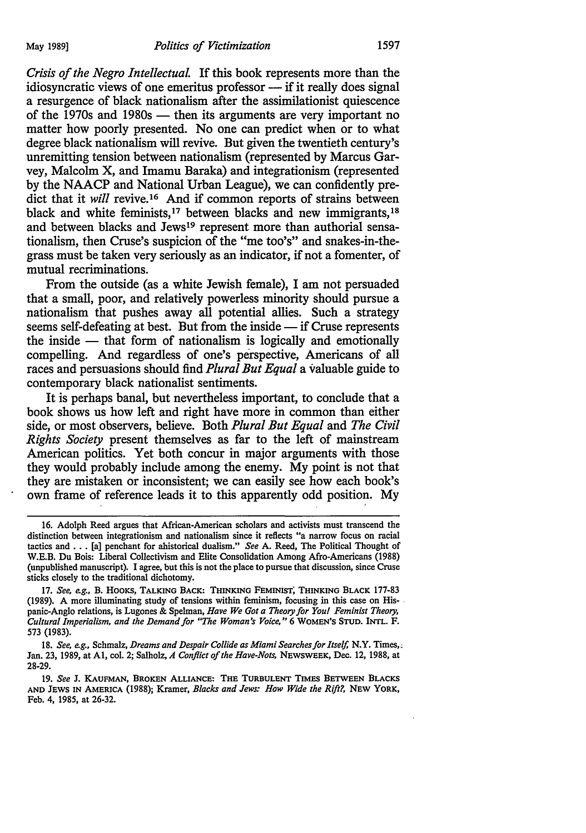*Crisis of the Negro Intellectual* If this book represents more than the idiosyncratic views of one emeritus professor — if it really does signal a resurgence of black nationalism after the assimilationist quiescence of the  $1970s$  and  $1980s$  — then its arguments are very important no matter how poorly presented. No one can predict when or to what degree black nationalism will revive. But given the twentieth century's unremitting tension between nationalism (represented by Marcus Garvey, Malcolm X, and Imamu Baraka) and integrationism (represented by the NAACP and National Urban League), we can confidently predict that it *will* revive.<sup>16</sup> And if common reports of strains between black and white feminists,<sup>17</sup> between blacks and new immigrants,<sup>18</sup> and between blacks and Jews<sup>19</sup> represent more than authorial sensationalism, then Cruse's suspicion of the "me too's" and snakes-in-thegrass must be taken very seriously as an indicator, if not a fomenter, of mutual recriminations.

From the outside (as a white Jewish female), I am not persuaded that a small, poor, and relatively powerless minority should pursue a nationalism that pushes away all potential allies. Such a strategy seems self-defeating at best. But from the inside  $-$  if Cruse represents the inside  $-$  that form of nationalism is logically and emotionally compelling. And regardless of one's perspective, Americans of all races and persuasions should find *Plural But Equal* a valuable guide to contemporary black nationalist sentiments.

It is perhaps banal, but nevertheless important, to conclude that a book shows us how left and right have more in common than either side, or most observers, believe. Both *Plural But Equal* and *The Civil Rights Society* present themselves as far to the left of mainstream American politics. Yet both concur in major arguments with those they would probably include among the enemy. My point is not that they are mistaken or inconsistent; we can easily see how each book's own frame of reference leads it to this apparently odd position. My

17. See, e.g., B. HOOKS, TALKING BACK: THINKING FEMINIST, THINKING BLACK 177-83 (1989). A more illuminating study of tensions within feminism, focusing in this case on His- . panic-Anglo relations, is Lugones & Spelman, *Have We Got a Theory for You! Feminist Theory, Cultural Imperialism, and the Demand for "The Woman's Voice,"* 6 WOMEN'S STUD. INTL. F. 573 (1983).

18. *See, e.g.,* Schmalz, *Dreams and Despair Collide as Miami Searches for Itself,* N.Y. Times,, Jan. 23, 1989, at Al, col. 2; Salholz, *A Conflict of the Have-Nots,* NEWSWEEK, Dec. 12, 1988, at 28-29.

19. *See* J. KAUFMAN, BROKEN ALLIANCE: THE TURBULENT TIMES BETWEEN BLACKS AND JEWS IN AMERICA (1988); Kramer, *Blacks and Jews: How Wide the Rift?,* NEW YORK, Feb. 4, 1985, at 26-32.

<sup>16.</sup> Adolph Reed argues that African-American scholars and activists must transcend the distinction between integrationism and nationalism since it reflects "a narrow focus on racial tactics and .•. [a] penchant for ahistorical dualism." *See* A. Reed, The Political Thought of W.E.B. Du Bois: Liberal Collectivism and Elite Consolidation Among Afro-Americans (1988) (unpublished manuscript). I agree, but this is not the place to pursue that discussion, since Cruse sticks closely to the traditional dichotomy.